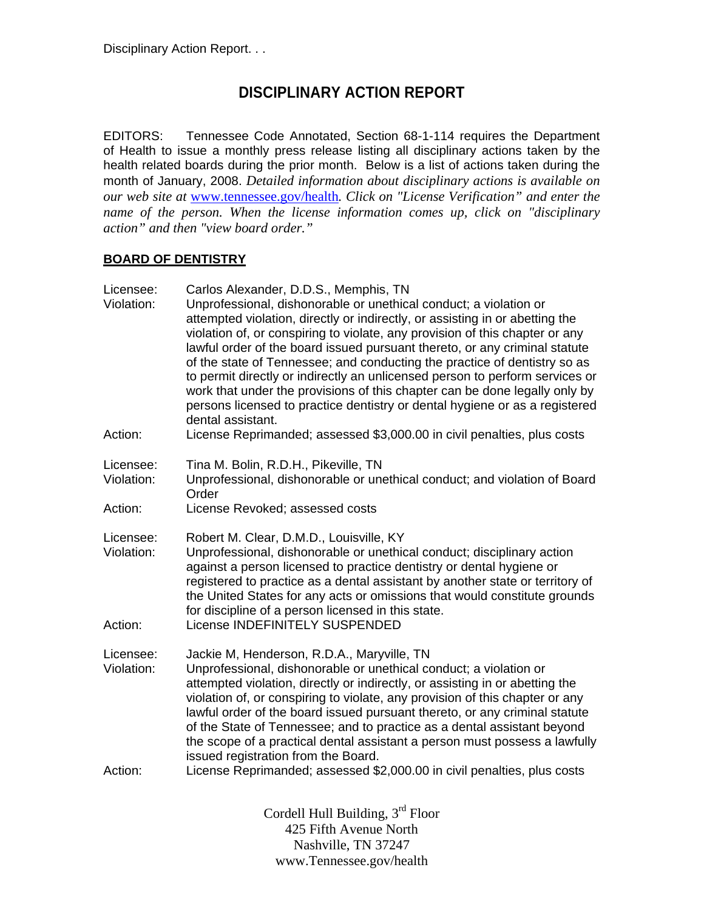## **DISCIPLINARY ACTION REPORT**

EDITORS: Tennessee Code Annotated, Section 68-1-114 requires the Department of Health to issue a monthly press release listing all disciplinary actions taken by the health related boards during the prior month. Below is a list of actions taken during the month of January, 2008. *Detailed information about disciplinary actions is available on our web site at* www.tennessee.gov/health*. Click on "License Verification" and enter the name of the person. When the license information comes up, click on "disciplinary action" and then "view board order."* 

## **BOARD OF DENTISTRY**

| Licensee:<br>Violation:            | Carlos Alexander, D.D.S., Memphis, TN<br>Unprofessional, dishonorable or unethical conduct; a violation or<br>attempted violation, directly or indirectly, or assisting in or abetting the<br>violation of, or conspiring to violate, any provision of this chapter or any<br>lawful order of the board issued pursuant thereto, or any criminal statute<br>of the state of Tennessee; and conducting the practice of dentistry so as<br>to permit directly or indirectly an unlicensed person to perform services or<br>work that under the provisions of this chapter can be done legally only by<br>persons licensed to practice dentistry or dental hygiene or as a registered<br>dental assistant. |
|------------------------------------|---------------------------------------------------------------------------------------------------------------------------------------------------------------------------------------------------------------------------------------------------------------------------------------------------------------------------------------------------------------------------------------------------------------------------------------------------------------------------------------------------------------------------------------------------------------------------------------------------------------------------------------------------------------------------------------------------------|
| Action:                            | License Reprimanded; assessed \$3,000.00 in civil penalties, plus costs                                                                                                                                                                                                                                                                                                                                                                                                                                                                                                                                                                                                                                 |
| Licensee:<br>Violation:            | Tina M. Bolin, R.D.H., Pikeville, TN<br>Unprofessional, dishonorable or unethical conduct; and violation of Board<br>Order                                                                                                                                                                                                                                                                                                                                                                                                                                                                                                                                                                              |
| Action:                            | License Revoked; assessed costs                                                                                                                                                                                                                                                                                                                                                                                                                                                                                                                                                                                                                                                                         |
| Licensee:<br>Violation:<br>Action: | Robert M. Clear, D.M.D., Louisville, KY<br>Unprofessional, dishonorable or unethical conduct; disciplinary action<br>against a person licensed to practice dentistry or dental hygiene or<br>registered to practice as a dental assistant by another state or territory of<br>the United States for any acts or omissions that would constitute grounds<br>for discipline of a person licensed in this state.<br>License INDEFINITELY SUSPENDED                                                                                                                                                                                                                                                         |
| Licensee:<br>Violation:<br>Action: | Jackie M, Henderson, R.D.A., Maryville, TN<br>Unprofessional, dishonorable or unethical conduct; a violation or<br>attempted violation, directly or indirectly, or assisting in or abetting the<br>violation of, or conspiring to violate, any provision of this chapter or any<br>lawful order of the board issued pursuant thereto, or any criminal statute<br>of the State of Tennessee; and to practice as a dental assistant beyond<br>the scope of a practical dental assistant a person must possess a lawfully<br>issued registration from the Board.<br>License Reprimanded; assessed \$2,000.00 in civil penalties, plus costs                                                                |
|                                    |                                                                                                                                                                                                                                                                                                                                                                                                                                                                                                                                                                                                                                                                                                         |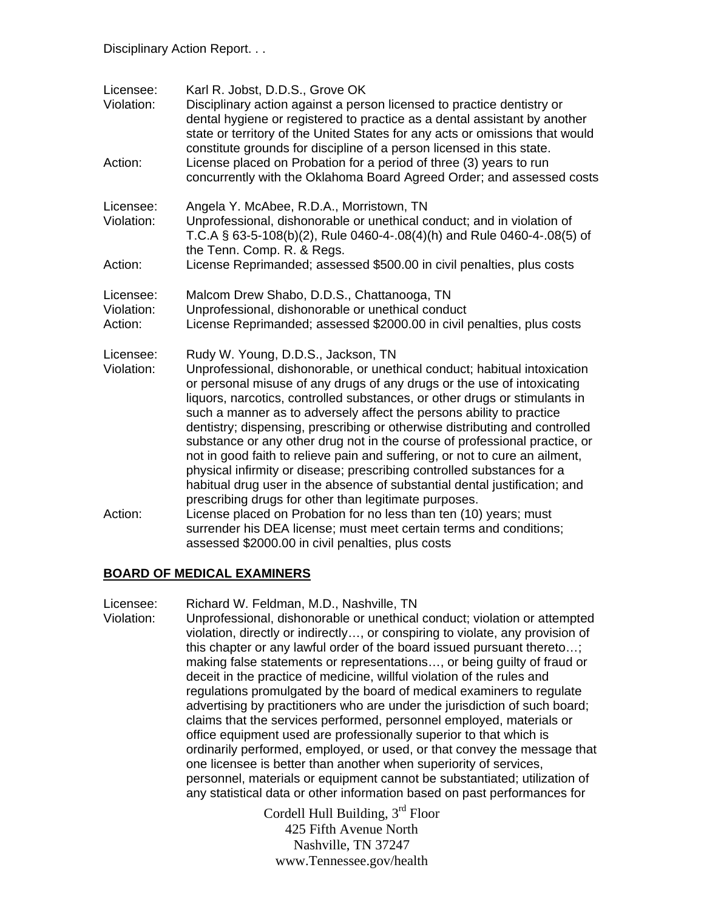| Licensee:<br>Violation:            | Karl R. Jobst, D.D.S., Grove OK<br>Disciplinary action against a person licensed to practice dentistry or<br>dental hygiene or registered to practice as a dental assistant by another<br>state or territory of the United States for any acts or omissions that would<br>constitute grounds for discipline of a person licensed in this state.                                                                                                                                                                                                                                                                                                                                                                                                                                                               |
|------------------------------------|---------------------------------------------------------------------------------------------------------------------------------------------------------------------------------------------------------------------------------------------------------------------------------------------------------------------------------------------------------------------------------------------------------------------------------------------------------------------------------------------------------------------------------------------------------------------------------------------------------------------------------------------------------------------------------------------------------------------------------------------------------------------------------------------------------------|
| Action:                            | License placed on Probation for a period of three (3) years to run<br>concurrently with the Oklahoma Board Agreed Order; and assessed costs                                                                                                                                                                                                                                                                                                                                                                                                                                                                                                                                                                                                                                                                   |
| Licensee:<br>Violation:            | Angela Y. McAbee, R.D.A., Morristown, TN<br>Unprofessional, dishonorable or unethical conduct; and in violation of<br>T.C.A § 63-5-108(b)(2), Rule 0460-4-.08(4)(h) and Rule 0460-4-.08(5) of<br>the Tenn. Comp. R. & Regs.                                                                                                                                                                                                                                                                                                                                                                                                                                                                                                                                                                                   |
| Action:                            | License Reprimanded; assessed \$500.00 in civil penalties, plus costs                                                                                                                                                                                                                                                                                                                                                                                                                                                                                                                                                                                                                                                                                                                                         |
| Licensee:<br>Violation:<br>Action: | Malcom Drew Shabo, D.D.S., Chattanooga, TN<br>Unprofessional, dishonorable or unethical conduct<br>License Reprimanded; assessed \$2000.00 in civil penalties, plus costs                                                                                                                                                                                                                                                                                                                                                                                                                                                                                                                                                                                                                                     |
| Licensee:<br>Violation:            | Rudy W. Young, D.D.S., Jackson, TN<br>Unprofessional, dishonorable, or unethical conduct; habitual intoxication<br>or personal misuse of any drugs of any drugs or the use of intoxicating<br>liquors, narcotics, controlled substances, or other drugs or stimulants in<br>such a manner as to adversely affect the persons ability to practice<br>dentistry; dispensing, prescribing or otherwise distributing and controlled<br>substance or any other drug not in the course of professional practice, or<br>not in good faith to relieve pain and suffering, or not to cure an ailment,<br>physical infirmity or disease; prescribing controlled substances for a<br>habitual drug user in the absence of substantial dental justification; and<br>prescribing drugs for other than legitimate purposes. |
| Action:                            | License placed on Probation for no less than ten (10) years; must<br>surrender his DEA license; must meet certain terms and conditions;<br>assessed \$2000.00 in civil penalties, plus costs                                                                                                                                                                                                                                                                                                                                                                                                                                                                                                                                                                                                                  |

### **BOARD OF MEDICAL EXAMINERS**

Licensee: Richard W. Feldman, M.D., Nashville, TN Violation: Unprofessional, dishonorable or unethical conduct; violation or attempted violation, directly or indirectly…, or conspiring to violate, any provision of this chapter or any lawful order of the board issued pursuant thereto…; making false statements or representations…, or being guilty of fraud or deceit in the practice of medicine, willful violation of the rules and regulations promulgated by the board of medical examiners to regulate advertising by practitioners who are under the jurisdiction of such board; claims that the services performed, personnel employed, materials or office equipment used are professionally superior to that which is ordinarily performed, employed, or used, or that convey the message that one licensee is better than another when superiority of services, personnel, materials or equipment cannot be substantiated; utilization of any statistical data or other information based on past performances for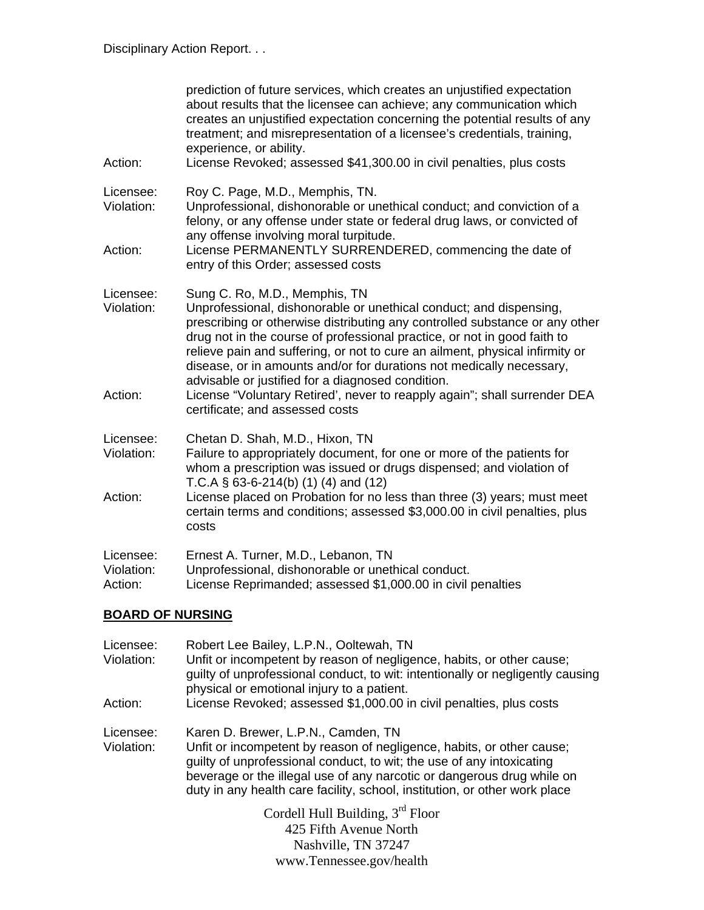| Action:                            | prediction of future services, which creates an unjustified expectation<br>about results that the licensee can achieve; any communication which<br>creates an unjustified expectation concerning the potential results of any<br>treatment; and misrepresentation of a licensee's credentials, training,<br>experience, or ability.<br>License Revoked; assessed \$41,300.00 in civil penalties, plus costs                                                                                                                                                                                 |
|------------------------------------|---------------------------------------------------------------------------------------------------------------------------------------------------------------------------------------------------------------------------------------------------------------------------------------------------------------------------------------------------------------------------------------------------------------------------------------------------------------------------------------------------------------------------------------------------------------------------------------------|
| Licensee:<br>Violation:            | Roy C. Page, M.D., Memphis, TN.<br>Unprofessional, dishonorable or unethical conduct; and conviction of a<br>felony, or any offense under state or federal drug laws, or convicted of<br>any offense involving moral turpitude.                                                                                                                                                                                                                                                                                                                                                             |
| Action:                            | License PERMANENTLY SURRENDERED, commencing the date of<br>entry of this Order; assessed costs                                                                                                                                                                                                                                                                                                                                                                                                                                                                                              |
| Licensee:<br>Violation:<br>Action: | Sung C. Ro, M.D., Memphis, TN<br>Unprofessional, dishonorable or unethical conduct; and dispensing,<br>prescribing or otherwise distributing any controlled substance or any other<br>drug not in the course of professional practice, or not in good faith to<br>relieve pain and suffering, or not to cure an ailment, physical infirmity or<br>disease, or in amounts and/or for durations not medically necessary,<br>advisable or justified for a diagnosed condition.<br>License "Voluntary Retired', never to reapply again"; shall surrender DEA<br>certificate; and assessed costs |
| Licensee:<br>Violation:<br>Action: | Chetan D. Shah, M.D., Hixon, TN<br>Failure to appropriately document, for one or more of the patients for<br>whom a prescription was issued or drugs dispensed; and violation of<br>T.C.A $\S$ 63-6-214(b) (1) (4) and (12)<br>License placed on Probation for no less than three (3) years; must meet                                                                                                                                                                                                                                                                                      |
|                                    | certain terms and conditions; assessed \$3,000.00 in civil penalties, plus<br>costs                                                                                                                                                                                                                                                                                                                                                                                                                                                                                                         |
| Licensee:<br>Violation:<br>Action: | Ernest A. Turner, M.D., Lebanon, TN<br>Unprofessional, dishonorable or unethical conduct.<br>License Reprimanded; assessed \$1,000.00 in civil penalties                                                                                                                                                                                                                                                                                                                                                                                                                                    |

# **BOARD OF NURSING**

| Licensee:<br>Violation: | Robert Lee Bailey, L.P.N., Ooltewah, TN<br>Unfit or incompetent by reason of negligence, habits, or other cause;<br>guilty of unprofessional conduct, to wit: intentionally or negligently causing                                                                                                                                            |  |
|-------------------------|-----------------------------------------------------------------------------------------------------------------------------------------------------------------------------------------------------------------------------------------------------------------------------------------------------------------------------------------------|--|
| Action:                 | physical or emotional injury to a patient.<br>License Revoked; assessed \$1,000.00 in civil penalties, plus costs                                                                                                                                                                                                                             |  |
| Licensee:<br>Violation: | Karen D. Brewer, L.P.N., Camden, TN<br>Unfit or incompetent by reason of negligence, habits, or other cause;<br>guilty of unprofessional conduct, to wit; the use of any intoxicating<br>beverage or the illegal use of any narcotic or dangerous drug while on<br>duty in any health care facility, school, institution, or other work place |  |
|                         | Cordell Hull Building, $3rd$ Floor<br>425 Fifth Avenue North                                                                                                                                                                                                                                                                                  |  |
|                         | Nashville, TN 37247                                                                                                                                                                                                                                                                                                                           |  |

www.Tennessee.gov/health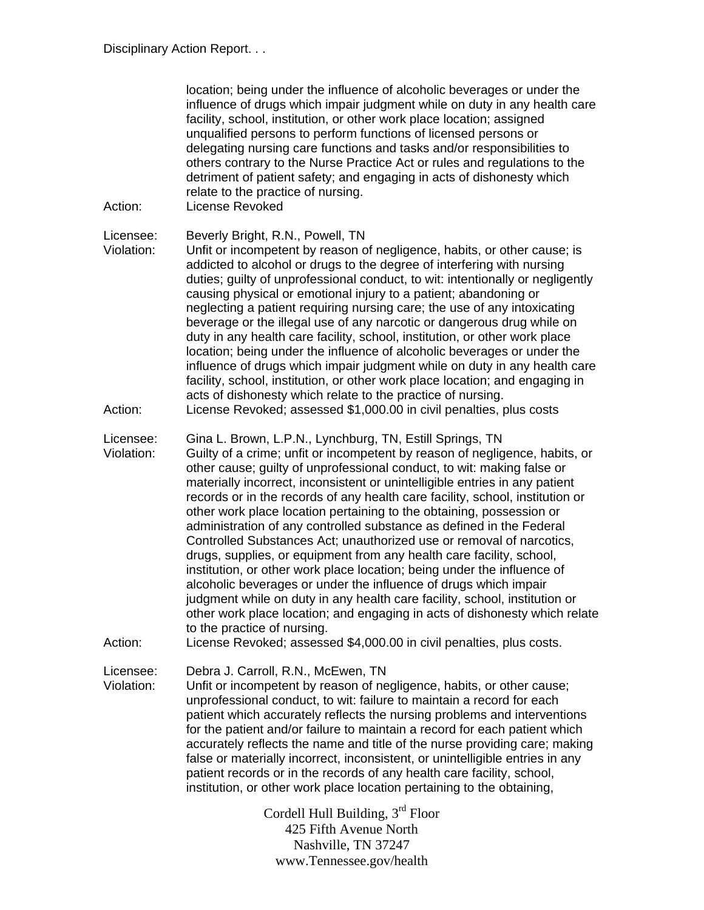| Action:                 | location; being under the influence of alcoholic beverages or under the<br>influence of drugs which impair judgment while on duty in any health care<br>facility, school, institution, or other work place location; assigned<br>unqualified persons to perform functions of licensed persons or<br>delegating nursing care functions and tasks and/or responsibilities to<br>others contrary to the Nurse Practice Act or rules and regulations to the<br>detriment of patient safety; and engaging in acts of dishonesty which<br>relate to the practice of nursing.<br>License Revoked                                                                                                                                                                                                                                                                                                                                                                                                                                   |
|-------------------------|-----------------------------------------------------------------------------------------------------------------------------------------------------------------------------------------------------------------------------------------------------------------------------------------------------------------------------------------------------------------------------------------------------------------------------------------------------------------------------------------------------------------------------------------------------------------------------------------------------------------------------------------------------------------------------------------------------------------------------------------------------------------------------------------------------------------------------------------------------------------------------------------------------------------------------------------------------------------------------------------------------------------------------|
| Licensee:<br>Violation: | Beverly Bright, R.N., Powell, TN<br>Unfit or incompetent by reason of negligence, habits, or other cause; is<br>addicted to alcohol or drugs to the degree of interfering with nursing<br>duties; guilty of unprofessional conduct, to wit: intentionally or negligently<br>causing physical or emotional injury to a patient; abandoning or<br>neglecting a patient requiring nursing care; the use of any intoxicating<br>beverage or the illegal use of any narcotic or dangerous drug while on<br>duty in any health care facility, school, institution, or other work place<br>location; being under the influence of alcoholic beverages or under the<br>influence of drugs which impair judgment while on duty in any health care<br>facility, school, institution, or other work place location; and engaging in<br>acts of dishonesty which relate to the practice of nursing.                                                                                                                                     |
| Action:                 | License Revoked; assessed \$1,000.00 in civil penalties, plus costs                                                                                                                                                                                                                                                                                                                                                                                                                                                                                                                                                                                                                                                                                                                                                                                                                                                                                                                                                         |
| Licensee:<br>Violation: | Gina L. Brown, L.P.N., Lynchburg, TN, Estill Springs, TN<br>Guilty of a crime; unfit or incompetent by reason of negligence, habits, or<br>other cause; guilty of unprofessional conduct, to wit: making false or<br>materially incorrect, inconsistent or unintelligible entries in any patient<br>records or in the records of any health care facility, school, institution or<br>other work place location pertaining to the obtaining, possession or<br>administration of any controlled substance as defined in the Federal<br>Controlled Substances Act; unauthorized use or removal of narcotics,<br>drugs, supplies, or equipment from any health care facility, school,<br>institution, or other work place location; being under the influence of<br>alcoholic beverages or under the influence of drugs which impair<br>judgment while on duty in any health care facility, school, institution or<br>other work place location; and engaging in acts of dishonesty which relate<br>to the practice of nursing. |
| Action:                 | License Revoked; assessed \$4,000.00 in civil penalties, plus costs.                                                                                                                                                                                                                                                                                                                                                                                                                                                                                                                                                                                                                                                                                                                                                                                                                                                                                                                                                        |
| Licensee:<br>Violation: | Debra J. Carroll, R.N., McEwen, TN<br>Unfit or incompetent by reason of negligence, habits, or other cause;<br>unprofessional conduct, to wit: failure to maintain a record for each<br>patient which accurately reflects the nursing problems and interventions<br>for the patient and/or failure to maintain a record for each patient which<br>accurately reflects the name and title of the nurse providing care; making<br>false or materially incorrect, inconsistent, or unintelligible entries in any<br>patient records or in the records of any health care facility, school,<br>institution, or other work place location pertaining to the obtaining,                                                                                                                                                                                                                                                                                                                                                           |
|                         | Cordell Hull Building, $3rd$ Floor<br>425 Fifth Avenue North<br>Nashville, TN 37247                                                                                                                                                                                                                                                                                                                                                                                                                                                                                                                                                                                                                                                                                                                                                                                                                                                                                                                                         |

www.Tennessee.gov/health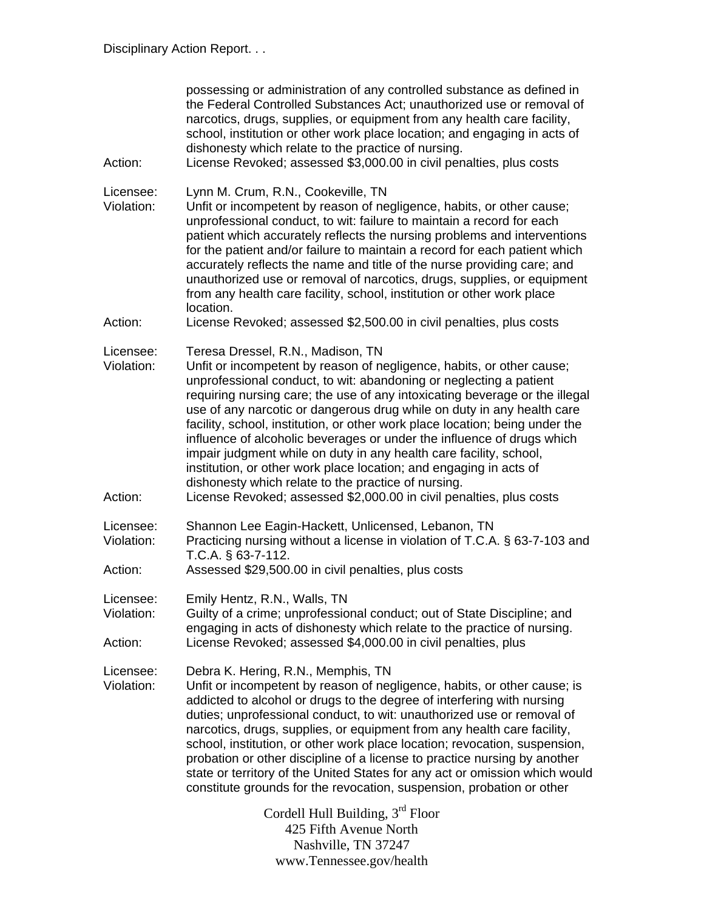| Action:                            | possessing or administration of any controlled substance as defined in<br>the Federal Controlled Substances Act; unauthorized use or removal of<br>narcotics, drugs, supplies, or equipment from any health care facility,<br>school, institution or other work place location; and engaging in acts of<br>dishonesty which relate to the practice of nursing.<br>License Revoked; assessed \$3,000.00 in civil penalties, plus costs                                                                                                                                                                                                                                                                  |  |
|------------------------------------|--------------------------------------------------------------------------------------------------------------------------------------------------------------------------------------------------------------------------------------------------------------------------------------------------------------------------------------------------------------------------------------------------------------------------------------------------------------------------------------------------------------------------------------------------------------------------------------------------------------------------------------------------------------------------------------------------------|--|
| Licensee:<br>Violation:<br>Action: | Lynn M. Crum, R.N., Cookeville, TN<br>Unfit or incompetent by reason of negligence, habits, or other cause;<br>unprofessional conduct, to wit: failure to maintain a record for each<br>patient which accurately reflects the nursing problems and interventions<br>for the patient and/or failure to maintain a record for each patient which<br>accurately reflects the name and title of the nurse providing care; and<br>unauthorized use or removal of narcotics, drugs, supplies, or equipment<br>from any health care facility, school, institution or other work place<br>location.                                                                                                            |  |
|                                    | License Revoked; assessed \$2,500.00 in civil penalties, plus costs                                                                                                                                                                                                                                                                                                                                                                                                                                                                                                                                                                                                                                    |  |
| Licensee:<br>Violation:            | Teresa Dressel, R.N., Madison, TN<br>Unfit or incompetent by reason of negligence, habits, or other cause;<br>unprofessional conduct, to wit: abandoning or neglecting a patient<br>requiring nursing care; the use of any intoxicating beverage or the illegal<br>use of any narcotic or dangerous drug while on duty in any health care<br>facility, school, institution, or other work place location; being under the<br>influence of alcoholic beverages or under the influence of drugs which<br>impair judgment while on duty in any health care facility, school,<br>institution, or other work place location; and engaging in acts of<br>dishonesty which relate to the practice of nursing. |  |
| Action:                            | License Revoked; assessed \$2,000.00 in civil penalties, plus costs                                                                                                                                                                                                                                                                                                                                                                                                                                                                                                                                                                                                                                    |  |
| Licensee:<br>Violation:<br>Action: | Shannon Lee Eagin-Hackett, Unlicensed, Lebanon, TN<br>Practicing nursing without a license in violation of T.C.A. § 63-7-103 and<br>T.C.A. § 63-7-112.<br>Assessed \$29,500.00 in civil penalties, plus costs                                                                                                                                                                                                                                                                                                                                                                                                                                                                                          |  |
|                                    |                                                                                                                                                                                                                                                                                                                                                                                                                                                                                                                                                                                                                                                                                                        |  |
| Licensee:<br>Violation:            | Emily Hentz, R.N., Walls, TN<br>Guilty of a crime; unprofessional conduct; out of State Discipline; and<br>engaging in acts of dishonesty which relate to the practice of nursing.                                                                                                                                                                                                                                                                                                                                                                                                                                                                                                                     |  |
| Action:                            | License Revoked; assessed \$4,000.00 in civil penalties, plus                                                                                                                                                                                                                                                                                                                                                                                                                                                                                                                                                                                                                                          |  |
| Licensee:<br>Violation:            | Debra K. Hering, R.N., Memphis, TN<br>Unfit or incompetent by reason of negligence, habits, or other cause; is<br>addicted to alcohol or drugs to the degree of interfering with nursing<br>duties; unprofessional conduct, to wit: unauthorized use or removal of<br>narcotics, drugs, supplies, or equipment from any health care facility,<br>school, institution, or other work place location; revocation, suspension,<br>probation or other discipline of a license to practice nursing by another<br>state or territory of the United States for any act or omission which would<br>constitute grounds for the revocation, suspension, probation or other                                       |  |
|                                    | Cordell Hull Building, 3 <sup>rd</sup> Floor<br>425 Fifth Avenue North<br>Nashville, TN 37247                                                                                                                                                                                                                                                                                                                                                                                                                                                                                                                                                                                                          |  |

www.Tennessee.gov/health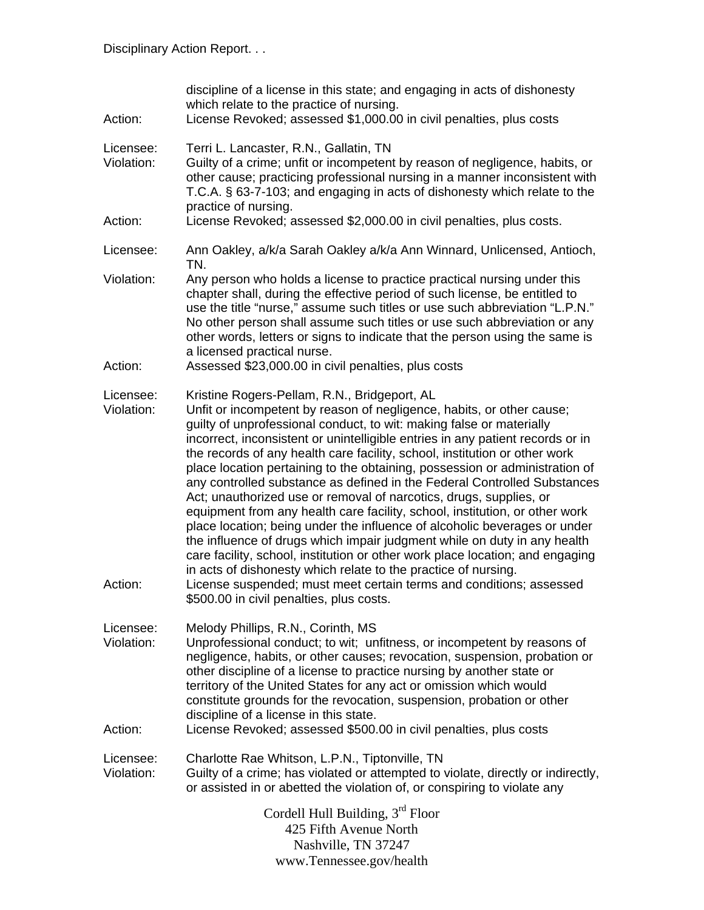| Action:                            | discipline of a license in this state; and engaging in acts of dishonesty<br>which relate to the practice of nursing.<br>License Revoked; assessed \$1,000.00 in civil penalties, plus costs                                                                                                                                                                                                                                                                                                                                                                                                                                                                                                                                                                                                                                                                                                                                                                                                                                                                                                                 |
|------------------------------------|--------------------------------------------------------------------------------------------------------------------------------------------------------------------------------------------------------------------------------------------------------------------------------------------------------------------------------------------------------------------------------------------------------------------------------------------------------------------------------------------------------------------------------------------------------------------------------------------------------------------------------------------------------------------------------------------------------------------------------------------------------------------------------------------------------------------------------------------------------------------------------------------------------------------------------------------------------------------------------------------------------------------------------------------------------------------------------------------------------------|
| Licensee:<br>Violation:            | Terri L. Lancaster, R.N., Gallatin, TN<br>Guilty of a crime; unfit or incompetent by reason of negligence, habits, or<br>other cause; practicing professional nursing in a manner inconsistent with<br>T.C.A. § 63-7-103; and engaging in acts of dishonesty which relate to the<br>practice of nursing.                                                                                                                                                                                                                                                                                                                                                                                                                                                                                                                                                                                                                                                                                                                                                                                                     |
| Action:                            | License Revoked; assessed \$2,000.00 in civil penalties, plus costs.                                                                                                                                                                                                                                                                                                                                                                                                                                                                                                                                                                                                                                                                                                                                                                                                                                                                                                                                                                                                                                         |
| Licensee:                          | Ann Oakley, a/k/a Sarah Oakley a/k/a Ann Winnard, Unlicensed, Antioch,<br>TN.                                                                                                                                                                                                                                                                                                                                                                                                                                                                                                                                                                                                                                                                                                                                                                                                                                                                                                                                                                                                                                |
| Violation:<br>Action:              | Any person who holds a license to practice practical nursing under this<br>chapter shall, during the effective period of such license, be entitled to<br>use the title "nurse," assume such titles or use such abbreviation "L.P.N."<br>No other person shall assume such titles or use such abbreviation or any<br>other words, letters or signs to indicate that the person using the same is<br>a licensed practical nurse.<br>Assessed \$23,000.00 in civil penalties, plus costs                                                                                                                                                                                                                                                                                                                                                                                                                                                                                                                                                                                                                        |
|                                    |                                                                                                                                                                                                                                                                                                                                                                                                                                                                                                                                                                                                                                                                                                                                                                                                                                                                                                                                                                                                                                                                                                              |
| Licensee:<br>Violation:<br>Action: | Kristine Rogers-Pellam, R.N., Bridgeport, AL<br>Unfit or incompetent by reason of negligence, habits, or other cause;<br>guilty of unprofessional conduct, to wit: making false or materially<br>incorrect, inconsistent or unintelligible entries in any patient records or in<br>the records of any health care facility, school, institution or other work<br>place location pertaining to the obtaining, possession or administration of<br>any controlled substance as defined in the Federal Controlled Substances<br>Act; unauthorized use or removal of narcotics, drugs, supplies, or<br>equipment from any health care facility, school, institution, or other work<br>place location; being under the influence of alcoholic beverages or under<br>the influence of drugs which impair judgment while on duty in any health<br>care facility, school, institution or other work place location; and engaging<br>in acts of dishonesty which relate to the practice of nursing.<br>License suspended; must meet certain terms and conditions; assessed<br>\$500.00 in civil penalties, plus costs. |
| Licensee:<br>Violation:            | Melody Phillips, R.N., Corinth, MS<br>Unprofessional conduct; to wit; unfitness, or incompetent by reasons of<br>negligence, habits, or other causes; revocation, suspension, probation or<br>other discipline of a license to practice nursing by another state or<br>territory of the United States for any act or omission which would<br>constitute grounds for the revocation, suspension, probation or other<br>discipline of a license in this state.                                                                                                                                                                                                                                                                                                                                                                                                                                                                                                                                                                                                                                                 |
| Action:                            | License Revoked; assessed \$500.00 in civil penalties, plus costs                                                                                                                                                                                                                                                                                                                                                                                                                                                                                                                                                                                                                                                                                                                                                                                                                                                                                                                                                                                                                                            |
| Licensee:<br>Violation:            | Charlotte Rae Whitson, L.P.N., Tiptonville, TN<br>Guilty of a crime; has violated or attempted to violate, directly or indirectly,<br>or assisted in or abetted the violation of, or conspiring to violate any                                                                                                                                                                                                                                                                                                                                                                                                                                                                                                                                                                                                                                                                                                                                                                                                                                                                                               |
|                                    | Cordell Hull Building, 3rd Floor<br>425 Fifth Avenue North<br>Nashville, TN 37247<br>www.Tennessee.gov/health                                                                                                                                                                                                                                                                                                                                                                                                                                                                                                                                                                                                                                                                                                                                                                                                                                                                                                                                                                                                |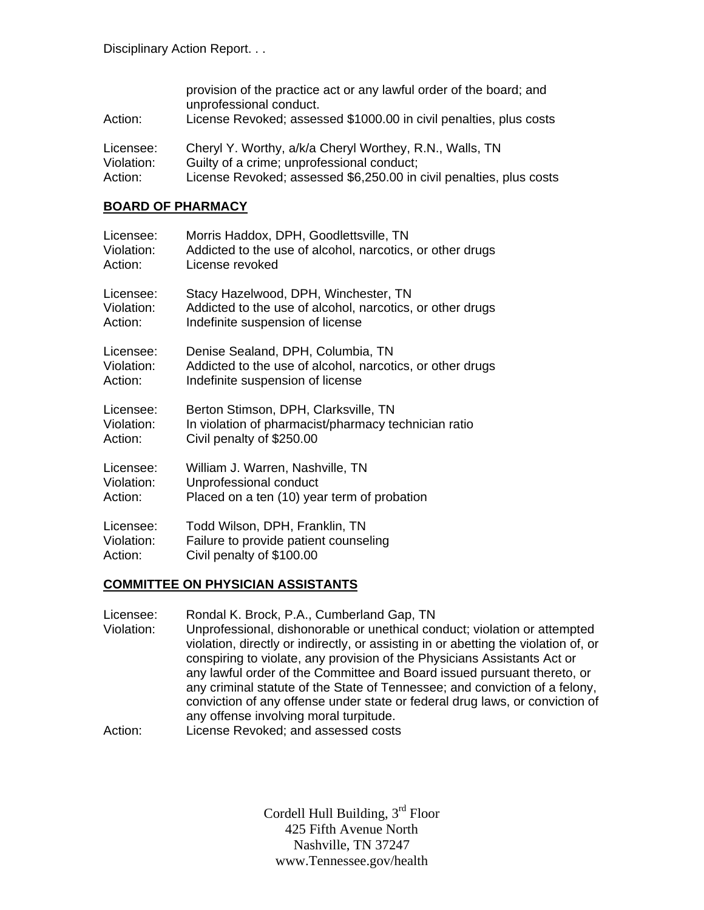| Action:                 | provision of the practice act or any lawful order of the board; and<br>unprofessional conduct.<br>License Revoked; assessed \$1000.00 in civil penalties, plus costs |
|-------------------------|----------------------------------------------------------------------------------------------------------------------------------------------------------------------|
|                         |                                                                                                                                                                      |
| Licensee:<br>Violation: | Cheryl Y. Worthy, a/k/a Cheryl Worthey, R.N., Walls, TN<br>Guilty of a crime; unprofessional conduct;                                                                |
| Action:                 | License Revoked; assessed \$6,250.00 in civil penalties, plus costs                                                                                                  |

#### **BOARD OF PHARMACY**

| Licensee:  | Morris Haddox, DPH, Goodlettsville, TN                    |
|------------|-----------------------------------------------------------|
| Violation: | Addicted to the use of alcohol, narcotics, or other drugs |
| Action:    | License revoked                                           |
| Licensee:  | Stacy Hazelwood, DPH, Winchester, TN                      |
| Violation: | Addicted to the use of alcohol, narcotics, or other drugs |
| Action:    | Indefinite suspension of license                          |
| Licensee:  | Denise Sealand, DPH, Columbia, TN                         |
| Violation: | Addicted to the use of alcohol, narcotics, or other drugs |
| Action:    | Indefinite suspension of license                          |
| Licensee:  | Berton Stimson, DPH, Clarksville, TN                      |
| Violation: | In violation of pharmacist/pharmacy technician ratio      |
| Action:    | Civil penalty of \$250.00                                 |
| Licensee:  | William J. Warren, Nashville, TN                          |
| Violation: | Unprofessional conduct                                    |
| Action:    | Placed on a ten (10) year term of probation               |
| Licensee:  | Todd Wilson, DPH, Franklin, TN                            |
| Violation: | Failure to provide patient counseling                     |
| Action:    | Civil penalty of \$100.00                                 |

### **COMMITTEE ON PHYSICIAN ASSISTANTS**

| Licensee:  | Rondal K. Brock, P.A., Cumberland Gap, TN                                                                                                              |
|------------|--------------------------------------------------------------------------------------------------------------------------------------------------------|
| Violation: | Unprofessional, dishonorable or unethical conduct; violation or attempted                                                                              |
|            | violation, directly or indirectly, or assisting in or abetting the violation of, or                                                                    |
|            | conspiring to violate, any provision of the Physicians Assistants Act or                                                                               |
|            | any lawful order of the Committee and Board issued pursuant thereto, or<br>any criminal statute of the State of Tennessee; and conviction of a felony, |
|            | conviction of any offense under state or federal drug laws, or conviction of                                                                           |
|            | any offense involving moral turpitude.                                                                                                                 |
| $A$ $A$    | Liesnes Douskedy and sessessed seets                                                                                                                   |

Action: License Revoked; and assessed costs